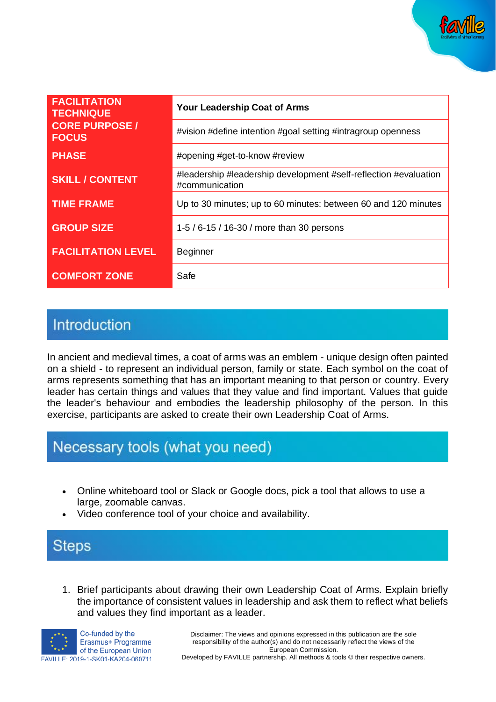

| <b>FACILITATION</b><br><b>TECHNIQUE</b> | Your Leadership Coat of Arms                                                       |
|-----------------------------------------|------------------------------------------------------------------------------------|
| <b>CORE PURPOSE /</b><br><b>FOCUS</b>   | #vision #define intention #goal setting #intragroup openness                       |
| <b>PHASE</b>                            | #opening #get-to-know #review                                                      |
| <b>SKILL / CONTENT</b>                  | #leadership #leadership development #self-reflection #evaluation<br>#communication |
| <b>TIME FRAME</b>                       | Up to 30 minutes; up to 60 minutes: between 60 and 120 minutes                     |
| <b>GROUP SIZE</b>                       | 1-5 / 6-15 / 16-30 / more than 30 persons                                          |
| <b>FACILITATION LEVEL</b>               | <b>Beginner</b>                                                                    |
| <b>COMFORT ZONE</b>                     | Safe                                                                               |

### Introduction

In ancient and medieval times, a coat of arms was an emblem - unique design often painted on a shield - to represent an individual person, family or state. Each symbol on the coat of arms represents something that has an important meaning to that person or country. Every leader has certain things and values that they value and find important. Values that guide the leader's behaviour and embodies the leadership philosophy of the person. In this exercise, participants are asked to create their own Leadership Coat of Arms.

# Necessary tools (what you need)

- Online whiteboard tool or Slack or Google docs, pick a tool that allows to use a large, zoomable canvas.
- Video conference tool of your choice and availability.

### **Steps**

1. Brief participants about drawing their own Leadership Coat of Arms. Explain briefly the importance of consistent values in leadership and ask them to reflect what beliefs and values they find important as a leader.



Disclaimer: The views and opinions expressed in this publication are the sole responsibility of the author(s) and do not necessarily reflect the views of the European Commission.

Developed by FAVILLE partnership. All methods & tools © their respective owners.